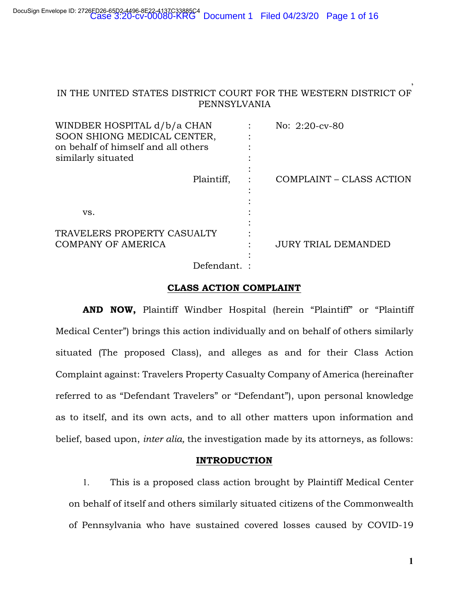# IN THE UNITED STATES DISTRICT COURT FOR THE WESTERN DISTRICT OF PENNSYLVANIA

| WINDBER HOSPITAL d/b/a CHAN<br>SOON SHIONG MEDICAL CENTER,<br>on behalf of himself and all others<br>similarly situated | No: 2:20-cv-80             |
|-------------------------------------------------------------------------------------------------------------------------|----------------------------|
| Plaintiff,                                                                                                              | COMPLAINT – CLASS ACTION   |
| VS.                                                                                                                     |                            |
| TRAVELERS PROPERTY CASUALTY<br><b>COMPANY OF AMERICA</b>                                                                | <b>JURY TRIAL DEMANDED</b> |
| Defendant.                                                                                                              |                            |

#### **CLASS ACTION COMPLAINT**

**AND NOW,** Plaintiff Windber Hospital (herein "Plaintiff" or "Plaintiff Medical Center") brings this action individually and on behalf of others similarly situated (The proposed Class), and alleges as and for their Class Action Complaint against: Travelers Property Casualty Company of America (hereinafter referred to as "Defendant Travelers" or "Defendant"), upon personal knowledge as to itself, and its own acts, and to all other matters upon information and belief, based upon, *inter alia,* the investigation made by its attorneys, as follows:

### **INTRODUCTION**

1. This is a proposed class action brought by Plaintiff Medical Center on behalf of itself and others similarly situated citizens of the Commonwealth of Pennsylvania who have sustained covered losses caused by COVID-19

**1**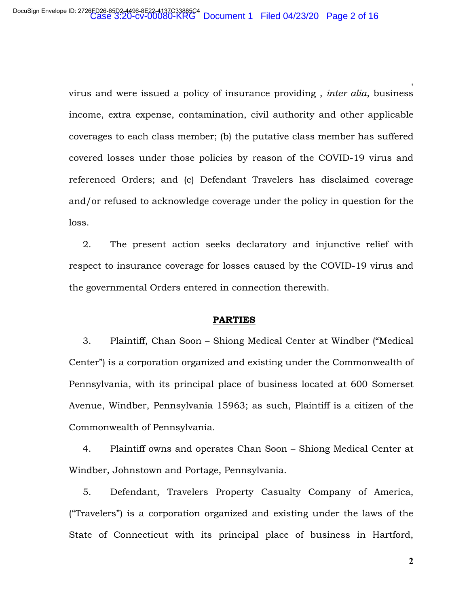virus and were issued a policy of insurance providing , *inter alia*, business income, extra expense, contamination, civil authority and other applicable coverages to each class member; (b) the putative class member has suffered covered losses under those policies by reason of the COVID-19 virus and referenced Orders; and (c) Defendant Travelers has disclaimed coverage and/or refused to acknowledge coverage under the policy in question for the loss.

2. The present action seeks declaratory and injunctive relief with respect to insurance coverage for losses caused by the COVID-19 virus and the governmental Orders entered in connection therewith.

### **PARTIES**

3. Plaintiff, Chan Soon – Shiong Medical Center at Windber ("Medical Center") is a corporation organized and existing under the Commonwealth of Pennsylvania, with its principal place of business located at 600 Somerset Avenue, Windber, Pennsylvania 15963; as such, Plaintiff is a citizen of the Commonwealth of Pennsylvania.

4. Plaintiff owns and operates Chan Soon – Shiong Medical Center at Windber, Johnstown and Portage, Pennsylvania.

5. Defendant, Travelers Property Casualty Company of America, ("Travelers") is a corporation organized and existing under the laws of the State of Connecticut with its principal place of business in Hartford,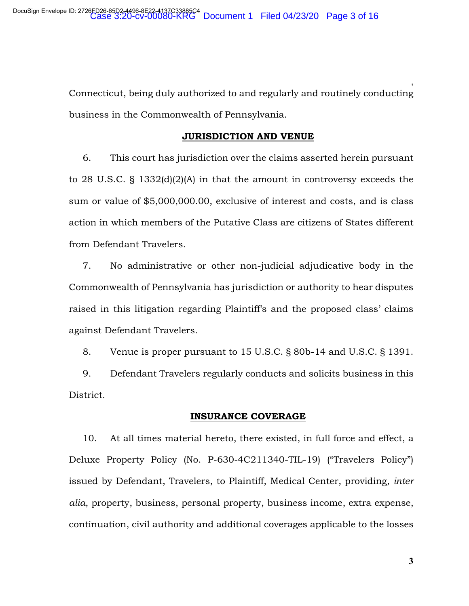Connecticut, being duly authorized to and regularly and routinely conducting business in the Commonwealth of Pennsylvania.

#### **JURISDICTION AND VENUE**

6. This court has jurisdiction over the claims asserted herein pursuant to 28 U.S.C. § 1332(d)(2)(A) in that the amount in controversy exceeds the sum or value of \$5,000,000.00, exclusive of interest and costs, and is class action in which members of the Putative Class are citizens of States different from Defendant Travelers.

7. No administrative or other non-judicial adjudicative body in the Commonwealth of Pennsylvania has jurisdiction or authority to hear disputes raised in this litigation regarding Plaintiff's and the proposed class' claims against Defendant Travelers.

8. Venue is proper pursuant to 15 U.S.C. § 80b-14 and U.S.C. § 1391.

9. Defendant Travelers regularly conducts and solicits business in this District.

#### **INSURANCE COVERAGE**

10. At all times material hereto, there existed, in full force and effect, a Deluxe Property Policy (No. P-630-4C211340-TIL-19) ("Travelers Policy") issued by Defendant, Travelers, to Plaintiff, Medical Center, providing, *inter alia*, property, business, personal property, business income, extra expense, continuation, civil authority and additional coverages applicable to the losses

**3**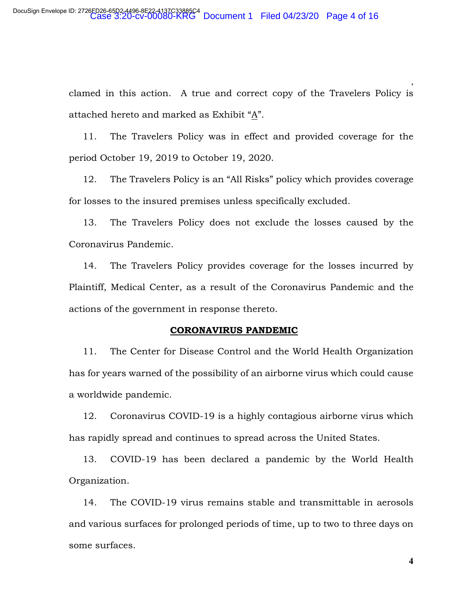clamed in this action. A true and correct copy of the Travelers Policy is attached hereto and marked as Exhibit "A".

11. The Travelers Policy was in effect and provided coverage for the period October 19, 2019 to October 19, 2020.

12. The Travelers Policy is an "All Risks" policy which provides coverage for losses to the insured premises unless specifically excluded.

13. The Travelers Policy does not exclude the losses caused by the Coronavirus Pandemic.

14. The Travelers Policy provides coverage for the losses incurred by Plaintiff, Medical Center, as a result of the Coronavirus Pandemic and the actions of the government in response thereto.

#### **CORONAVIRUS PANDEMIC**

11. The Center for Disease Control and the World Health Organization has for years warned of the possibility of an airborne virus which could cause a worldwide pandemic.

12. Coronavirus COVID-19 is a highly contagious airborne virus which has rapidly spread and continues to spread across the United States.

13. COVID-19 has been declared a pandemic by the World Health Organization.

14. The COVID-19 virus remains stable and transmittable in aerosols and various surfaces for prolonged periods of time, up to two to three days on some surfaces.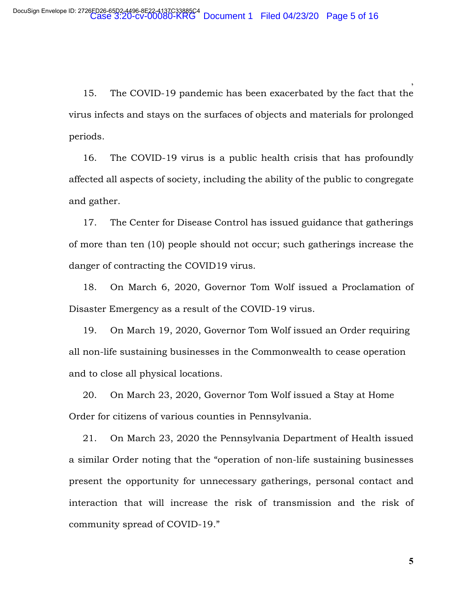15. The COVID-19 pandemic has been exacerbated by the fact that the virus infects and stays on the surfaces of objects and materials for prolonged periods.

16. The COVID-19 virus is a public health crisis that has profoundly affected all aspects of society, including the ability of the public to congregate and gather.

17. The Center for Disease Control has issued guidance that gatherings of more than ten (10) people should not occur; such gatherings increase the danger of contracting the COVID19 virus.

18. On March 6, 2020, Governor Tom Wolf issued a Proclamation of Disaster Emergency as a result of the COVID-19 virus.

19. On March 19, 2020, Governor Tom Wolf issued an Order requiring all non-life sustaining businesses in the Commonwealth to cease operation and to close all physical locations.

20. On March 23, 2020, Governor Tom Wolf issued a Stay at Home Order for citizens of various counties in Pennsylvania.

21. On March 23, 2020 the Pennsylvania Department of Health issued a similar Order noting that the "operation of non-life sustaining businesses present the opportunity for unnecessary gatherings, personal contact and interaction that will increase the risk of transmission and the risk of community spread of COVID-19."

**5**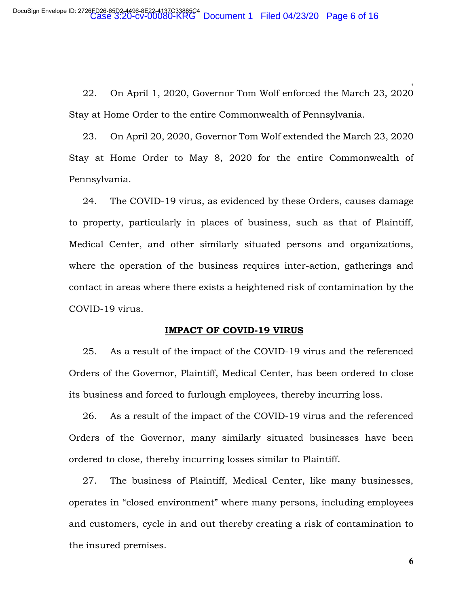22. On April 1, 2020, Governor Tom Wolf enforced the March 23, 2020 Stay at Home Order to the entire Commonwealth of Pennsylvania.

23. On April 20, 2020, Governor Tom Wolf extended the March 23, 2020 Stay at Home Order to May 8, 2020 for the entire Commonwealth of Pennsylvania.

24. The COVID-19 virus, as evidenced by these Orders, causes damage to property, particularly in places of business, such as that of Plaintiff, Medical Center, and other similarly situated persons and organizations, where the operation of the business requires inter-action, gatherings and contact in areas where there exists a heightened risk of contamination by the COVID-19 virus.

#### **IMPACT OF COVID-19 VIRUS**

25. As a result of the impact of the COVID-19 virus and the referenced Orders of the Governor, Plaintiff, Medical Center, has been ordered to close its business and forced to furlough employees, thereby incurring loss.

26. As a result of the impact of the COVID-19 virus and the referenced Orders of the Governor, many similarly situated businesses have been ordered to close, thereby incurring losses similar to Plaintiff.

27. The business of Plaintiff, Medical Center, like many businesses, operates in "closed environment" where many persons, including employees and customers, cycle in and out thereby creating a risk of contamination to the insured premises.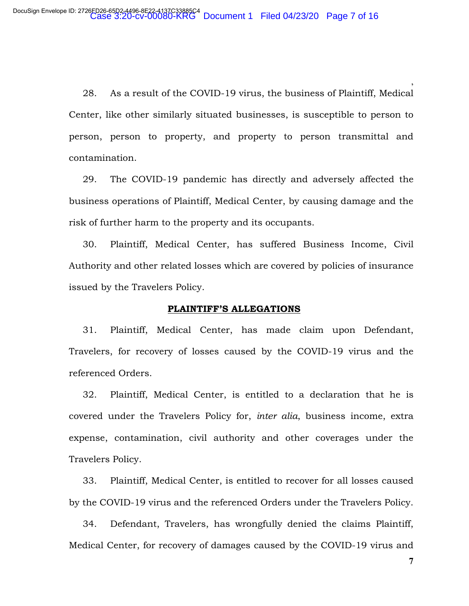28. As a result of the COVID-19 virus, the business of Plaintiff, Medical Center, like other similarly situated businesses, is susceptible to person to person, person to property, and property to person transmittal and contamination.

29. The COVID-19 pandemic has directly and adversely affected the business operations of Plaintiff, Medical Center, by causing damage and the risk of further harm to the property and its occupants.

30. Plaintiff, Medical Center, has suffered Business Income, Civil Authority and other related losses which are covered by policies of insurance issued by the Travelers Policy.

### **PLAINTIFF'S ALLEGATIONS**

31. Plaintiff, Medical Center, has made claim upon Defendant, Travelers, for recovery of losses caused by the COVID-19 virus and the referenced Orders.

32. Plaintiff, Medical Center, is entitled to a declaration that he is covered under the Travelers Policy for, *inter alia*, business income, extra expense, contamination, civil authority and other coverages under the Travelers Policy.

33. Plaintiff, Medical Center, is entitled to recover for all losses caused by the COVID-19 virus and the referenced Orders under the Travelers Policy.

34. Defendant, Travelers, has wrongfully denied the claims Plaintiff, Medical Center, for recovery of damages caused by the COVID-19 virus and

**7**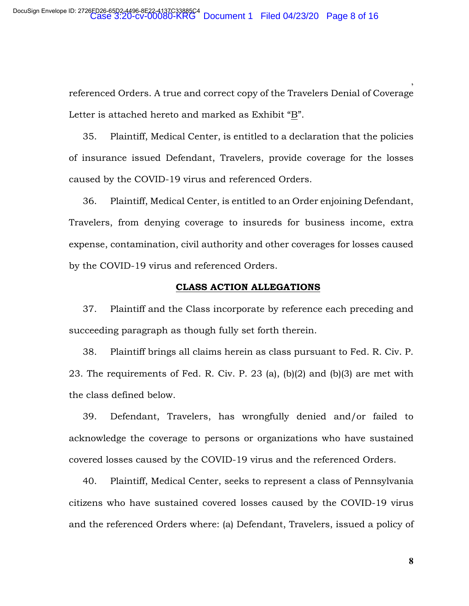referenced Orders. A true and correct copy of the Travelers Denial of Coverage Letter is attached hereto and marked as Exhibit "B".

35. Plaintiff, Medical Center, is entitled to a declaration that the policies of insurance issued Defendant, Travelers, provide coverage for the losses caused by the COVID-19 virus and referenced Orders.

36. Plaintiff, Medical Center, is entitled to an Order enjoining Defendant, Travelers, from denying coverage to insureds for business income, extra expense, contamination, civil authority and other coverages for losses caused by the COVID-19 virus and referenced Orders.

#### **CLASS ACTION ALLEGATIONS**

37. Plaintiff and the Class incorporate by reference each preceding and succeeding paragraph as though fully set forth therein.

38. Plaintiff brings all claims herein as class pursuant to Fed. R. Civ. P. 23. The requirements of Fed. R. Civ. P. 23 (a), (b)(2) and (b)(3) are met with the class defined below.

39. Defendant, Travelers, has wrongfully denied and/or failed to acknowledge the coverage to persons or organizations who have sustained covered losses caused by the COVID-19 virus and the referenced Orders.

40. Plaintiff, Medical Center, seeks to represent a class of Pennsylvania citizens who have sustained covered losses caused by the COVID-19 virus and the referenced Orders where: (a) Defendant, Travelers, issued a policy of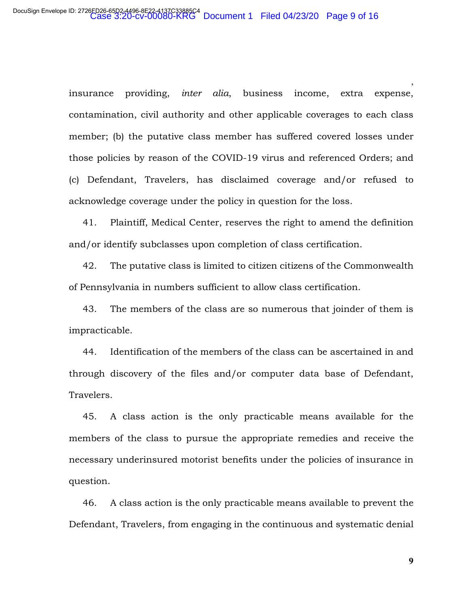insurance providing, *inter alia*, business income, extra expense, contamination, civil authority and other applicable coverages to each class member; (b) the putative class member has suffered covered losses under those policies by reason of the COVID-19 virus and referenced Orders; and (c) Defendant, Travelers, has disclaimed coverage and/or refused to acknowledge coverage under the policy in question for the loss.

41. Plaintiff, Medical Center, reserves the right to amend the definition and/or identify subclasses upon completion of class certification.

42. The putative class is limited to citizen citizens of the Commonwealth of Pennsylvania in numbers sufficient to allow class certification.

43. The members of the class are so numerous that joinder of them is impracticable.

44. Identification of the members of the class can be ascertained in and through discovery of the files and/or computer data base of Defendant, Travelers.

45. A class action is the only practicable means available for the members of the class to pursue the appropriate remedies and receive the necessary underinsured motorist benefits under the policies of insurance in question.

46. A class action is the only practicable means available to prevent the Defendant, Travelers, from engaging in the continuous and systematic denial

**9**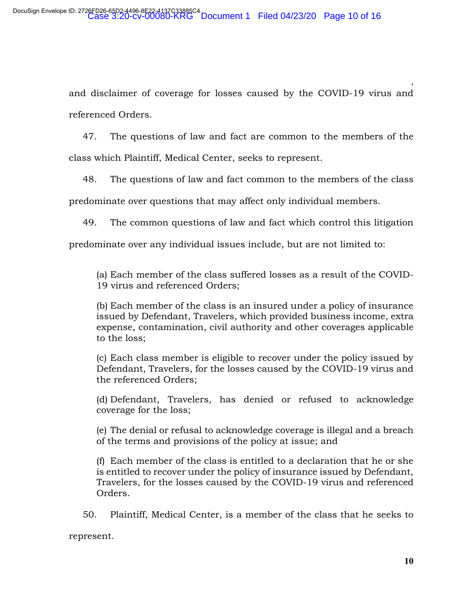and disclaimer of coverage for losses caused by the COVID-19 virus and referenced Orders.

47. The questions of law and fact are common to the members of the class which Plaintiff, Medical Center, seeks to represent.

48. The questions of law and fact common to the members of the class

predominate over questions that may affect only individual members.

49. The common questions of law and fact which control this litigation

predominate over any individual issues include, but are not limited to:

(a) Each member of the class suffered losses as a result of the COVID-19 virus and referenced Orders;

(b) Each member of the class is an insured under a policy of insurance issued by Defendant, Travelers, which provided business income, extra expense, contamination, civil authority and other coverages applicable to the loss;

(c) Each class member is eligible to recover under the policy issued by Defendant, Travelers, for the losses caused by the COVID-19 virus and the referenced Orders;

(d) Defendant, Travelers, has denied or refused to acknowledge coverage for the loss;

(e) The denial or refusal to acknowledge coverage is illegal and a breach of the terms and provisions of the policy at issue; and

(f) Each member of the class is entitled to a declaration that he or she is entitled to recover under the policy of insurance issued by Defendant, Travelers, for the losses caused by the COVID-19 virus and referenced Orders.

50. Plaintiff, Medical Center, is a member of the class that he seeks to

represent.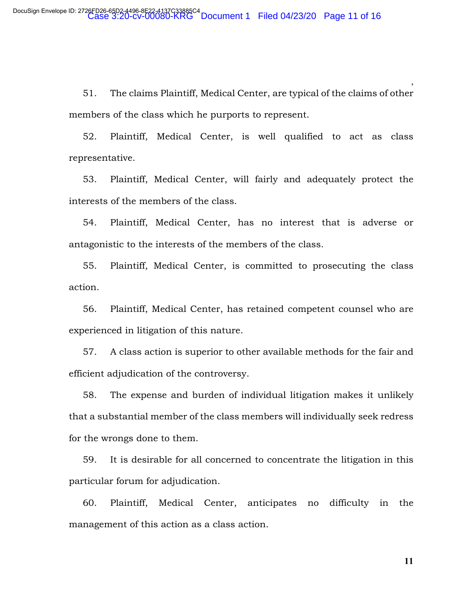51. The claims Plaintiff, Medical Center, are typical of the claims of other members of the class which he purports to represent.

52. Plaintiff, Medical Center, is well qualified to act as class representative.

53. Plaintiff, Medical Center, will fairly and adequately protect the interests of the members of the class.

54. Plaintiff, Medical Center, has no interest that is adverse or antagonistic to the interests of the members of the class.

55. Plaintiff, Medical Center, is committed to prosecuting the class action.

56. Plaintiff, Medical Center, has retained competent counsel who are experienced in litigation of this nature.

57. A class action is superior to other available methods for the fair and efficient adjudication of the controversy.

58. The expense and burden of individual litigation makes it unlikely that a substantial member of the class members will individually seek redress for the wrongs done to them.

59. It is desirable for all concerned to concentrate the litigation in this particular forum for adjudication.

60. Plaintiff, Medical Center, anticipates no difficulty in the management of this action as a class action.

**11**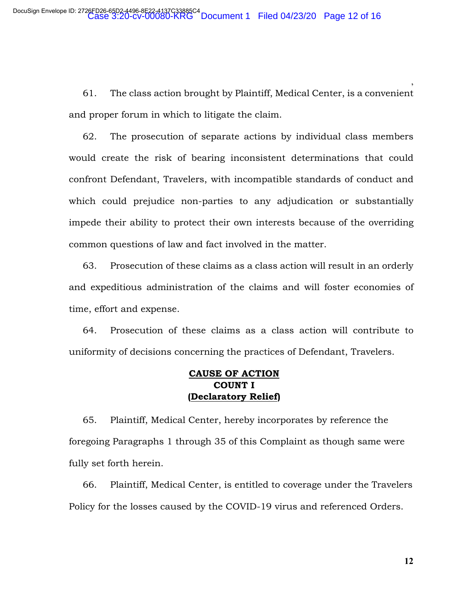61. The class action brought by Plaintiff, Medical Center, is a convenient and proper forum in which to litigate the claim.

62. The prosecution of separate actions by individual class members would create the risk of bearing inconsistent determinations that could confront Defendant, Travelers, with incompatible standards of conduct and which could prejudice non-parties to any adjudication or substantially impede their ability to protect their own interests because of the overriding common questions of law and fact involved in the matter.

63. Prosecution of these claims as a class action will result in an orderly and expeditious administration of the claims and will foster economies of time, effort and expense.

64. Prosecution of these claims as a class action will contribute to uniformity of decisions concerning the practices of Defendant, Travelers.

# **CAUSE OF ACTION COUNT I (Declaratory Relief)**

65. Plaintiff, Medical Center, hereby incorporates by reference the foregoing Paragraphs 1 through 35 of this Complaint as though same were fully set forth herein.

66. Plaintiff, Medical Center, is entitled to coverage under the Travelers Policy for the losses caused by the COVID-19 virus and referenced Orders.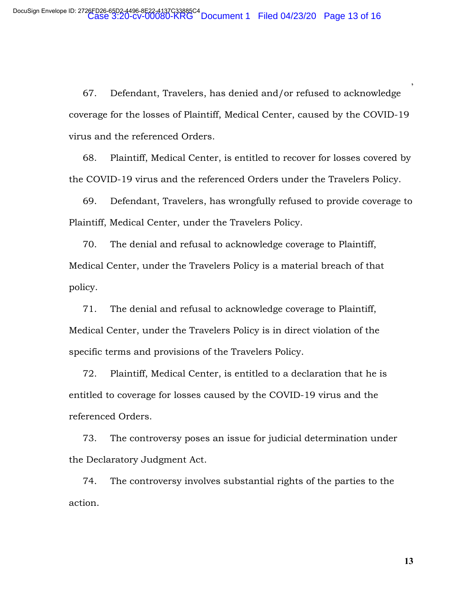67. Defendant, Travelers, has denied and/or refused to acknowledge coverage for the losses of Plaintiff, Medical Center, caused by the COVID-19 virus and the referenced Orders.

68. Plaintiff, Medical Center, is entitled to recover for losses covered by the COVID-19 virus and the referenced Orders under the Travelers Policy.

69. Defendant, Travelers, has wrongfully refused to provide coverage to Plaintiff, Medical Center, under the Travelers Policy.

70. The denial and refusal to acknowledge coverage to Plaintiff, Medical Center, under the Travelers Policy is a material breach of that policy.

71. The denial and refusal to acknowledge coverage to Plaintiff, Medical Center, under the Travelers Policy is in direct violation of the specific terms and provisions of the Travelers Policy.

72. Plaintiff, Medical Center, is entitled to a declaration that he is entitled to coverage for losses caused by the COVID-19 virus and the referenced Orders.

73. The controversy poses an issue for judicial determination under the Declaratory Judgment Act.

74. The controversy involves substantial rights of the parties to the action.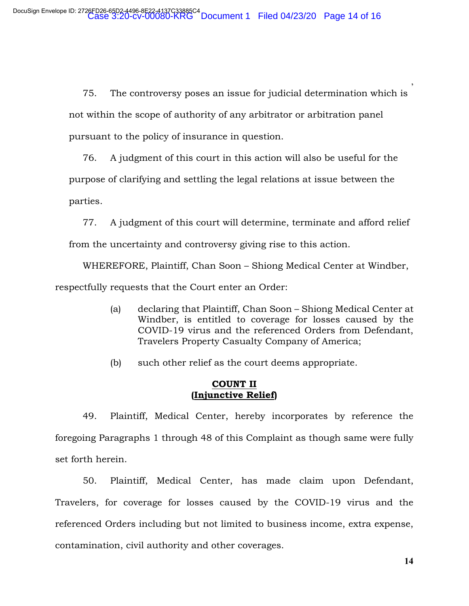75. The controversy poses an issue for judicial determination which is not within the scope of authority of any arbitrator or arbitration panel pursuant to the policy of insurance in question.

76. A judgment of this court in this action will also be useful for the purpose of clarifying and settling the legal relations at issue between the parties.

77. A judgment of this court will determine, terminate and afford relief

from the uncertainty and controversy giving rise to this action.

 WHEREFORE, Plaintiff, Chan Soon – Shiong Medical Center at Windber, respectfully requests that the Court enter an Order:

- (a) declaring that Plaintiff, Chan Soon Shiong Medical Center at Windber, is entitled to coverage for losses caused by the COVID-19 virus and the referenced Orders from Defendant, Travelers Property Casualty Company of America;
- (b) such other relief as the court deems appropriate.

# **COUNT II (Injunctive Relief)**

49. Plaintiff, Medical Center, hereby incorporates by reference the foregoing Paragraphs 1 through 48 of this Complaint as though same were fully set forth herein.

50. Plaintiff, Medical Center, has made claim upon Defendant, Travelers, for coverage for losses caused by the COVID-19 virus and the referenced Orders including but not limited to business income, extra expense, contamination, civil authority and other coverages.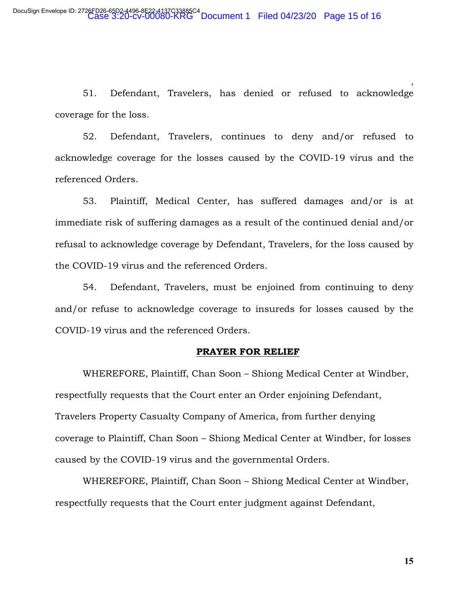51. Defendant, Travelers, has denied or refused to acknowledge coverage for the loss.

52. Defendant, Travelers, continues to deny and/or refused to acknowledge coverage for the losses caused by the COVID-19 virus and the referenced Orders.

53. Plaintiff, Medical Center, has suffered damages and/or is at immediate risk of suffering damages as a result of the continued denial and/or refusal to acknowledge coverage by Defendant, Travelers, for the loss caused by the COVID-19 virus and the referenced Orders.

54. Defendant, Travelers, must be enjoined from continuing to deny and/or refuse to acknowledge coverage to insureds for losses caused by the COVID-19 virus and the referenced Orders.

#### **PRAYER FOR RELIEF**

WHEREFORE, Plaintiff, Chan Soon – Shiong Medical Center at Windber, respectfully requests that the Court enter an Order enjoining Defendant, Travelers Property Casualty Company of America, from further denying coverage to Plaintiff, Chan Soon – Shiong Medical Center at Windber, for losses caused by the COVID-19 virus and the governmental Orders.

WHEREFORE, Plaintiff, Chan Soon – Shiong Medical Center at Windber, respectfully requests that the Court enter judgment against Defendant,